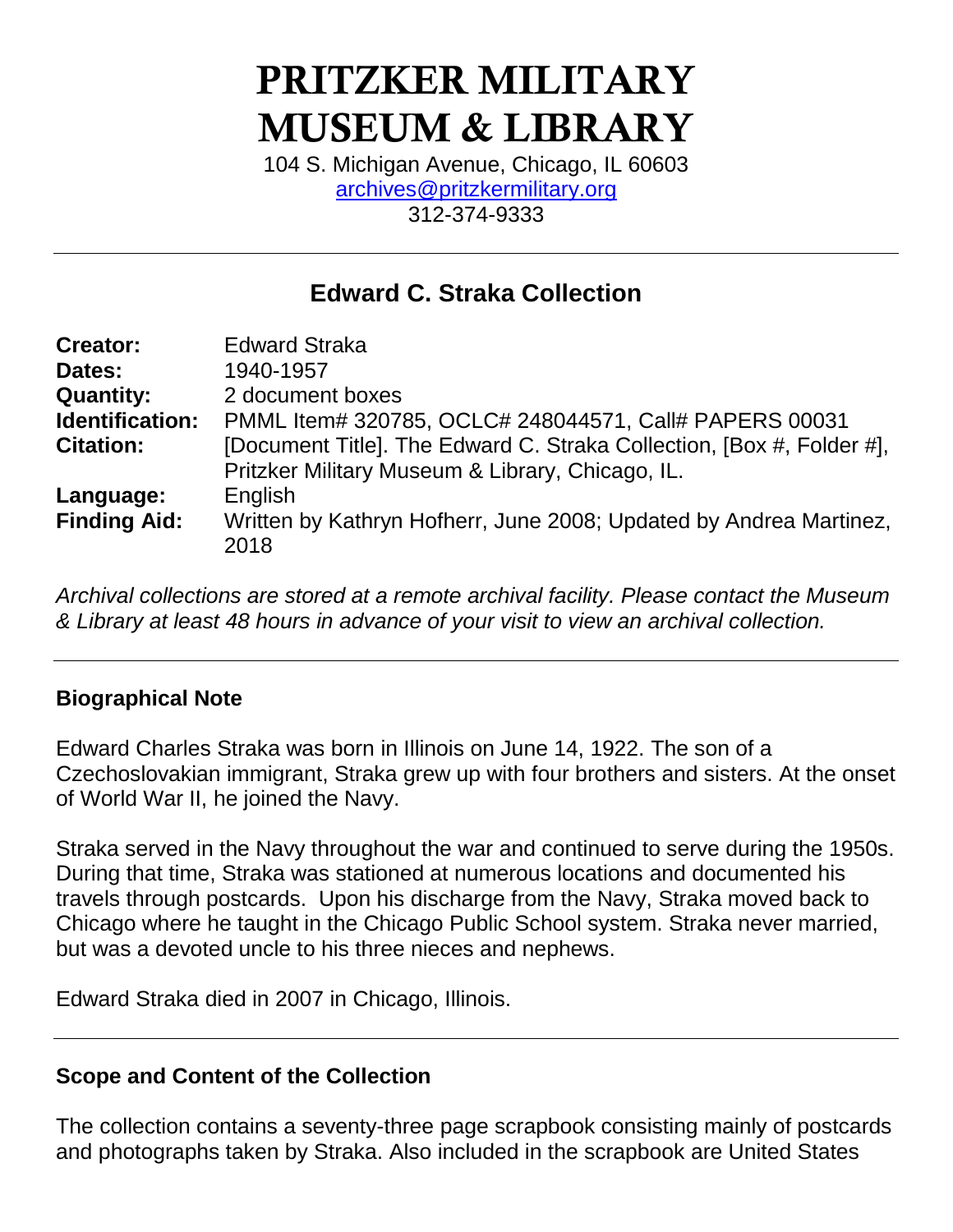# PRITZKER MILITARY MUSEUM & LIBRARY

104 S. Michigan Avenue, Chicago, IL 60603 [archives@pritzkermilitary.org](mailto:archives@pritzkermilitary.org) 312-374-9333

## **Edward C. Straka Collection**

| <b>Creator:</b>     | <b>Edward Straka</b>                                                                                                      |
|---------------------|---------------------------------------------------------------------------------------------------------------------------|
| Dates:              | 1940-1957                                                                                                                 |
| <b>Quantity:</b>    | 2 document boxes                                                                                                          |
| Identification:     | PMML Item# 320785, OCLC# 248044571, Call# PAPERS 00031                                                                    |
| <b>Citation:</b>    | [Document Title]. The Edward C. Straka Collection, [Box #, Folder #],<br>Pritzker Military Museum & Library, Chicago, IL. |
| Language:           | English                                                                                                                   |
| <b>Finding Aid:</b> | Written by Kathryn Hofherr, June 2008; Updated by Andrea Martinez,<br>2018                                                |

*Archival collections are stored at a remote archival facility. Please contact the Museum & Library at least 48 hours in advance of your visit to view an archival collection.*

#### **Biographical Note**

Edward Charles Straka was born in Illinois on June 14, 1922. The son of a Czechoslovakian immigrant, Straka grew up with four brothers and sisters. At the onset of World War II, he joined the Navy.

Straka served in the Navy throughout the war and continued to serve during the 1950s. During that time, Straka was stationed at numerous locations and documented his travels through postcards. Upon his discharge from the Navy, Straka moved back to Chicago where he taught in the Chicago Public School system. Straka never married, but was a devoted uncle to his three nieces and nephews.

Edward Straka died in 2007 in Chicago, Illinois.

### **Scope and Content of the Collection**

The collection contains a seventy-three page scrapbook consisting mainly of postcards and photographs taken by Straka. Also included in the scrapbook are United States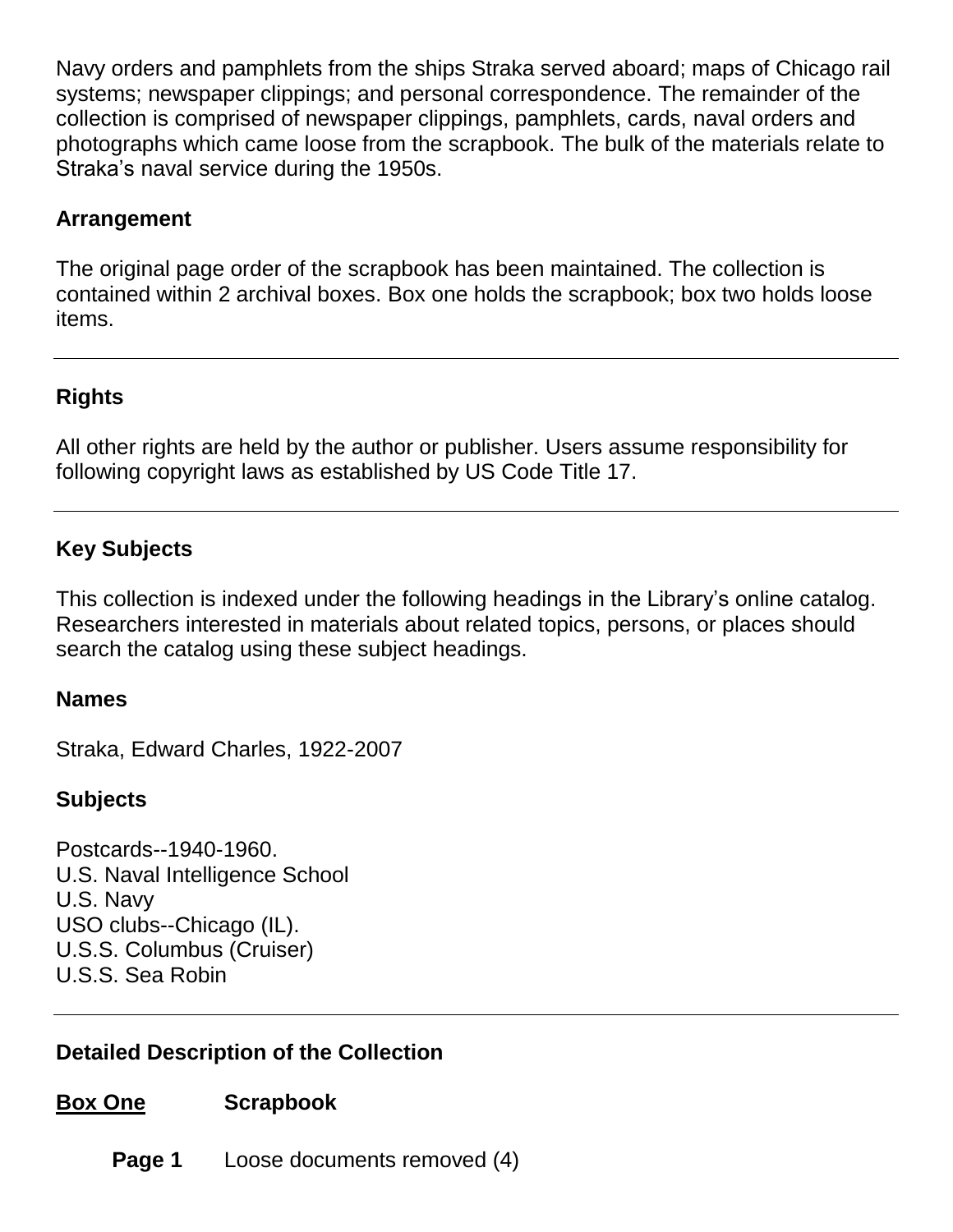Navy orders and pamphlets from the ships Straka served aboard; maps of Chicago rail systems; newspaper clippings; and personal correspondence. The remainder of the collection is comprised of newspaper clippings, pamphlets, cards, naval orders and photographs which came loose from the scrapbook. The bulk of the materials relate to Straka's naval service during the 1950s.

#### **Arrangement**

The original page order of the scrapbook has been maintained. The collection is contained within 2 archival boxes. Box one holds the scrapbook; box two holds loose items.

## **Rights**

All other rights are held by the author or publisher. Users assume responsibility for following copyright laws as established by US Code Title 17.

## **Key Subjects**

This collection is indexed under the following headings in the Library's online catalog. Researchers interested in materials about related topics, persons, or places should search the catalog using these subject headings.

#### **Names**

Straka, Edward Charles, 1922-2007

### **Subjects**

Postcards--1940-1960. U.S. Naval Intelligence School U.S. Navy USO clubs--Chicago (IL). U.S.S. Columbus (Cruiser) U.S.S. Sea Robin

### **Detailed Description of the Collection**

#### **Box One Scrapbook**

**Page 1** Loose documents removed (4)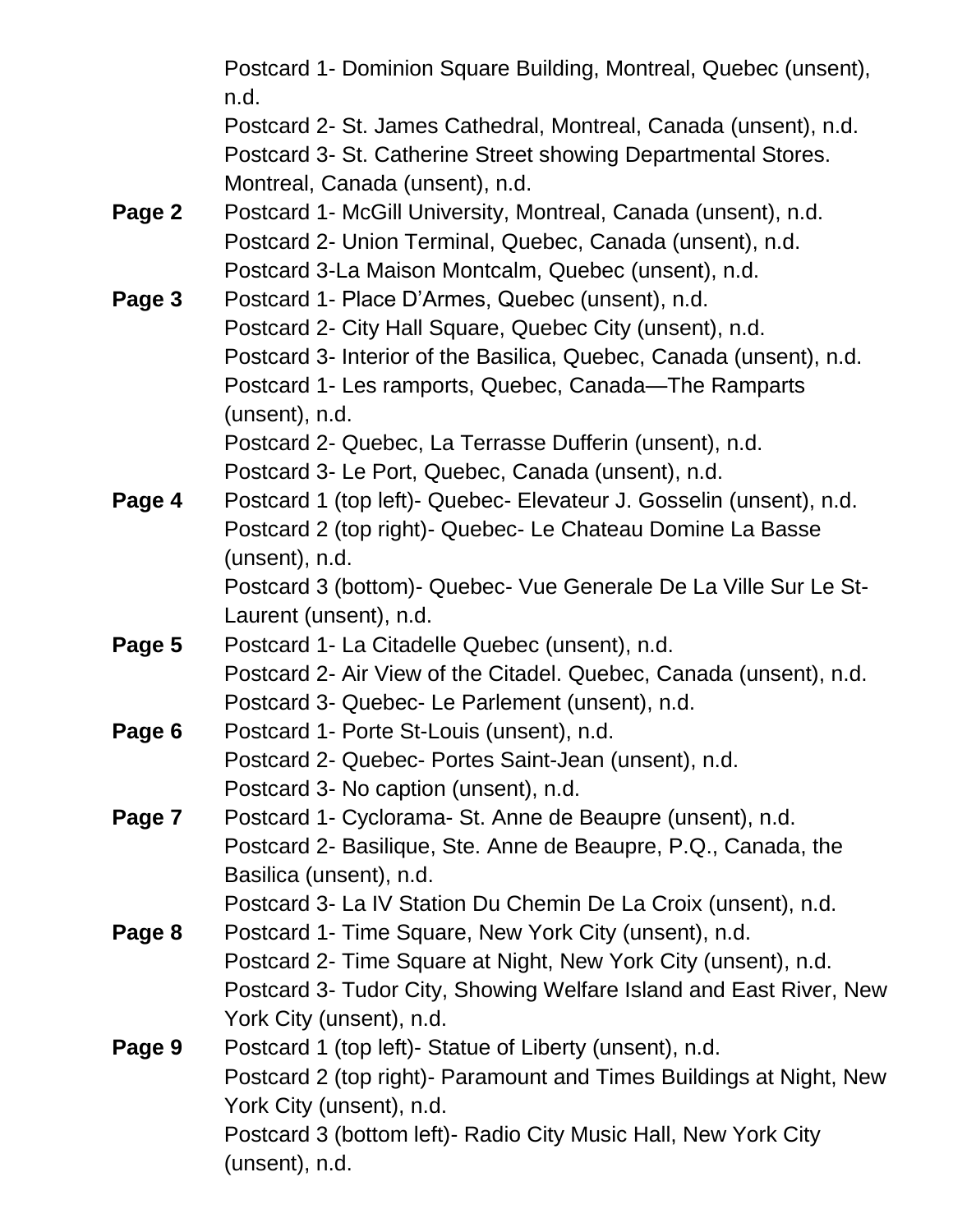Postcard 1- Dominion Square Building, Montreal, Quebec (unsent), n.d. Postcard 2- St. James Cathedral, Montreal, Canada (unsent), n.d. Postcard 3- St. Catherine Street showing Departmental Stores. Montreal, Canada (unsent), n.d. **Page 2** Postcard 1- McGill University, Montreal, Canada (unsent), n.d. Postcard 2- Union Terminal, Quebec, Canada (unsent), n.d. Postcard 3-La Maison Montcalm, Quebec (unsent), n.d. **Page 3** Postcard 1- Place D'Armes, Quebec (unsent), n.d. Postcard 2- City Hall Square, Quebec City (unsent), n.d. Postcard 3- Interior of the Basilica, Quebec, Canada (unsent), n.d. Postcard 1- Les ramports, Quebec, Canada—The Ramparts (unsent), n.d. Postcard 2- Quebec, La Terrasse Dufferin (unsent), n.d. Postcard 3- Le Port, Quebec, Canada (unsent), n.d. **Page 4** Postcard 1 (top left)- Quebec- Elevateur J. Gosselin (unsent), n.d. Postcard 2 (top right)- Quebec- Le Chateau Domine La Basse (unsent), n.d. Postcard 3 (bottom)- Quebec- Vue Generale De La Ville Sur Le St-Laurent (unsent), n.d. **Page 5** Postcard 1- La Citadelle Quebec (unsent), n.d. Postcard 2- Air View of the Citadel. Quebec, Canada (unsent), n.d. Postcard 3- Quebec- Le Parlement (unsent), n.d. **Page 6** Postcard 1- Porte St-Louis (unsent), n.d. Postcard 2- Quebec- Portes Saint-Jean (unsent), n.d. Postcard 3- No caption (unsent), n.d. **Page 7** Postcard 1- Cyclorama- St. Anne de Beaupre (unsent), n.d. Postcard 2- Basilique, Ste. Anne de Beaupre, P.Q., Canada, the Basilica (unsent), n.d. Postcard 3- La IV Station Du Chemin De La Croix (unsent), n.d. **Page 8** Postcard 1- Time Square, New York City (unsent), n.d. Postcard 2- Time Square at Night, New York City (unsent), n.d. Postcard 3- Tudor City, Showing Welfare Island and East River, New York City (unsent), n.d. **Page 9** Postcard 1 (top left)- Statue of Liberty (unsent), n.d. Postcard 2 (top right)- Paramount and Times Buildings at Night, New York City (unsent), n.d. Postcard 3 (bottom left)- Radio City Music Hall, New York City (unsent), n.d.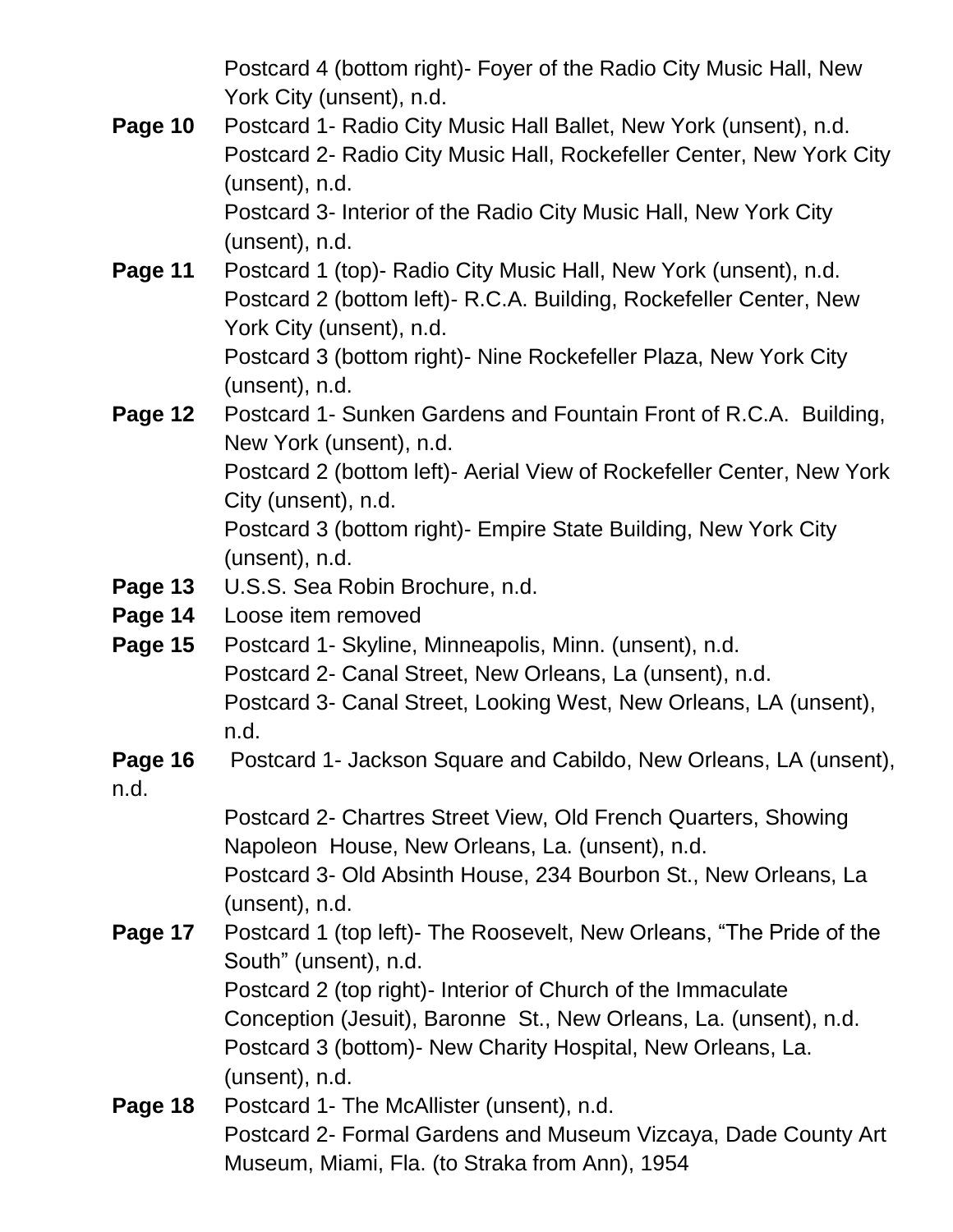Postcard 4 (bottom right)- Foyer of the Radio City Music Hall, New York City (unsent), n.d.

- **Page 10** Postcard 1- Radio City Music Hall Ballet, New York (unsent), n.d. Postcard 2- Radio City Music Hall, Rockefeller Center, New York City (unsent), n.d. Postcard 3- Interior of the Radio City Music Hall, New York City (unsent), n.d.
- **Page 11** Postcard 1 (top)- Radio City Music Hall, New York (unsent), n.d. Postcard 2 (bottom left)- R.C.A. Building, Rockefeller Center, New York City (unsent), n.d. Postcard 3 (bottom right)- Nine Rockefeller Plaza, New York City (unsent), n.d.
- **Page 12** Postcard 1- Sunken Gardens and Fountain Front of R.C.A. Building, New York (unsent), n.d. Postcard 2 (bottom left)- Aerial View of Rockefeller Center, New York City (unsent), n.d. Postcard 3 (bottom right)- Empire State Building, New York City (unsent), n.d.
- **Page 13** U.S.S. Sea Robin Brochure, n.d.
- **Page 14** Loose item removed
- **Page 15** Postcard 1- Skyline, Minneapolis, Minn. (unsent), n.d. Postcard 2- Canal Street, New Orleans, La (unsent), n.d. Postcard 3- Canal Street, Looking West, New Orleans, LA (unsent), n.d.
- **Page 16** Postcard 1- Jackson Square and Cabildo, New Orleans, LA (unsent),
- n.d.
- Postcard 2- Chartres Street View, Old French Quarters, Showing Napoleon House, New Orleans, La. (unsent), n.d. Postcard 3- Old Absinth House, 234 Bourbon St., New Orleans, La
- (unsent), n.d.
- **Page 17** Postcard 1 (top left)- The Roosevelt, New Orleans, "The Pride of the South" (unsent), n.d. Postcard 2 (top right)- Interior of Church of the Immaculate Conception (Jesuit), Baronne St., New Orleans, La. (unsent), n.d. Postcard 3 (bottom)- New Charity Hospital, New Orleans, La. (unsent), n.d.
- **Page 18** Postcard 1- The McAllister (unsent), n.d. Postcard 2- Formal Gardens and Museum Vizcaya, Dade County Art Museum, Miami, Fla. (to Straka from Ann), 1954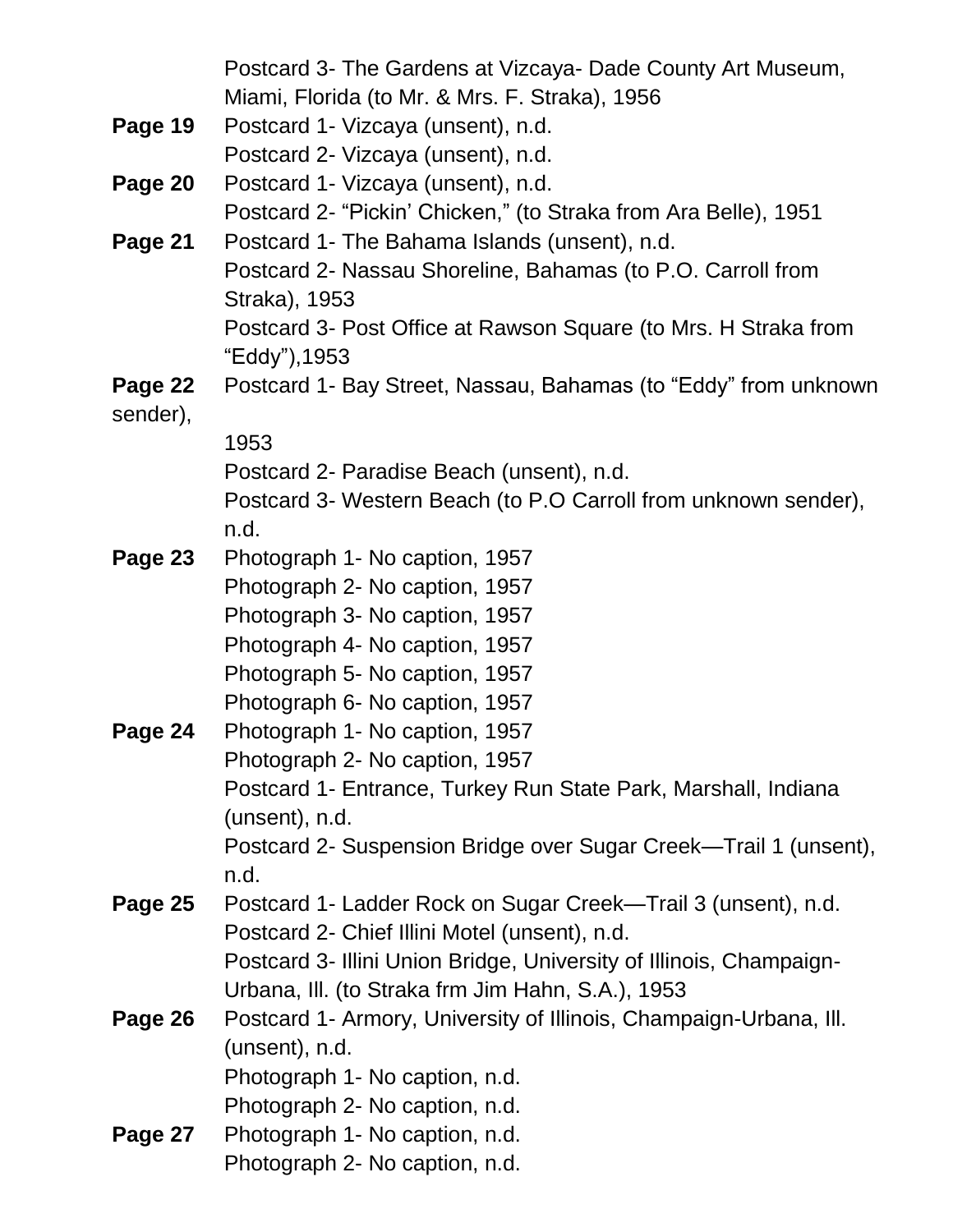|          | Postcard 3- The Gardens at Vizcaya- Dade County Art Museum,         |
|----------|---------------------------------------------------------------------|
|          | Miami, Florida (to Mr. & Mrs. F. Straka), 1956                      |
| Page 19  | Postcard 1- Vizcaya (unsent), n.d.                                  |
|          | Postcard 2- Vizcaya (unsent), n.d.                                  |
| Page 20  | Postcard 1- Vizcaya (unsent), n.d.                                  |
|          | Postcard 2- "Pickin' Chicken," (to Straka from Ara Belle), 1951     |
| Page 21  | Postcard 1- The Bahama Islands (unsent), n.d.                       |
|          | Postcard 2- Nassau Shoreline, Bahamas (to P.O. Carroll from         |
|          | Straka), 1953                                                       |
|          | Postcard 3- Post Office at Rawson Square (to Mrs. H Straka from     |
|          | "Eddy"), 1953                                                       |
| Page 22  | Postcard 1- Bay Street, Nassau, Bahamas (to "Eddy" from unknown     |
| sender), |                                                                     |
|          | 1953                                                                |
|          | Postcard 2- Paradise Beach (unsent), n.d.                           |
|          | Postcard 3- Western Beach (to P.O Carroll from unknown sender),     |
|          | n.d.                                                                |
| Page 23  | Photograph 1- No caption, 1957                                      |
|          | Photograph 2- No caption, 1957                                      |
|          | Photograph 3- No caption, 1957                                      |
|          | Photograph 4- No caption, 1957                                      |
|          | Photograph 5- No caption, 1957                                      |
|          | Photograph 6- No caption, 1957                                      |
| Page 24  | Photograph 1- No caption, 1957                                      |
|          | Photograph 2- No caption, 1957                                      |
|          | Postcard 1- Entrance, Turkey Run State Park, Marshall, Indiana      |
|          | (unsent), n.d.                                                      |
|          | Postcard 2- Suspension Bridge over Sugar Creek—Trail 1 (unsent),    |
|          | n.d.                                                                |
| Page 25  | Postcard 1- Ladder Rock on Sugar Creek—Trail 3 (unsent), n.d.       |
|          | Postcard 2- Chief Illini Motel (unsent), n.d.                       |
|          | Postcard 3- Illini Union Bridge, University of Illinois, Champaign- |
|          | Urbana, Ill. (to Straka frm Jim Hahn, S.A.), 1953                   |
| Page 26  | Postcard 1- Armory, University of Illinois, Champaign-Urbana, Ill.  |
|          | (unsent), n.d.                                                      |
|          | Photograph 1- No caption, n.d.                                      |
|          | Photograph 2- No caption, n.d.                                      |
| Page 27  | Photograph 1- No caption, n.d.                                      |
|          | Photograph 2- No caption, n.d.                                      |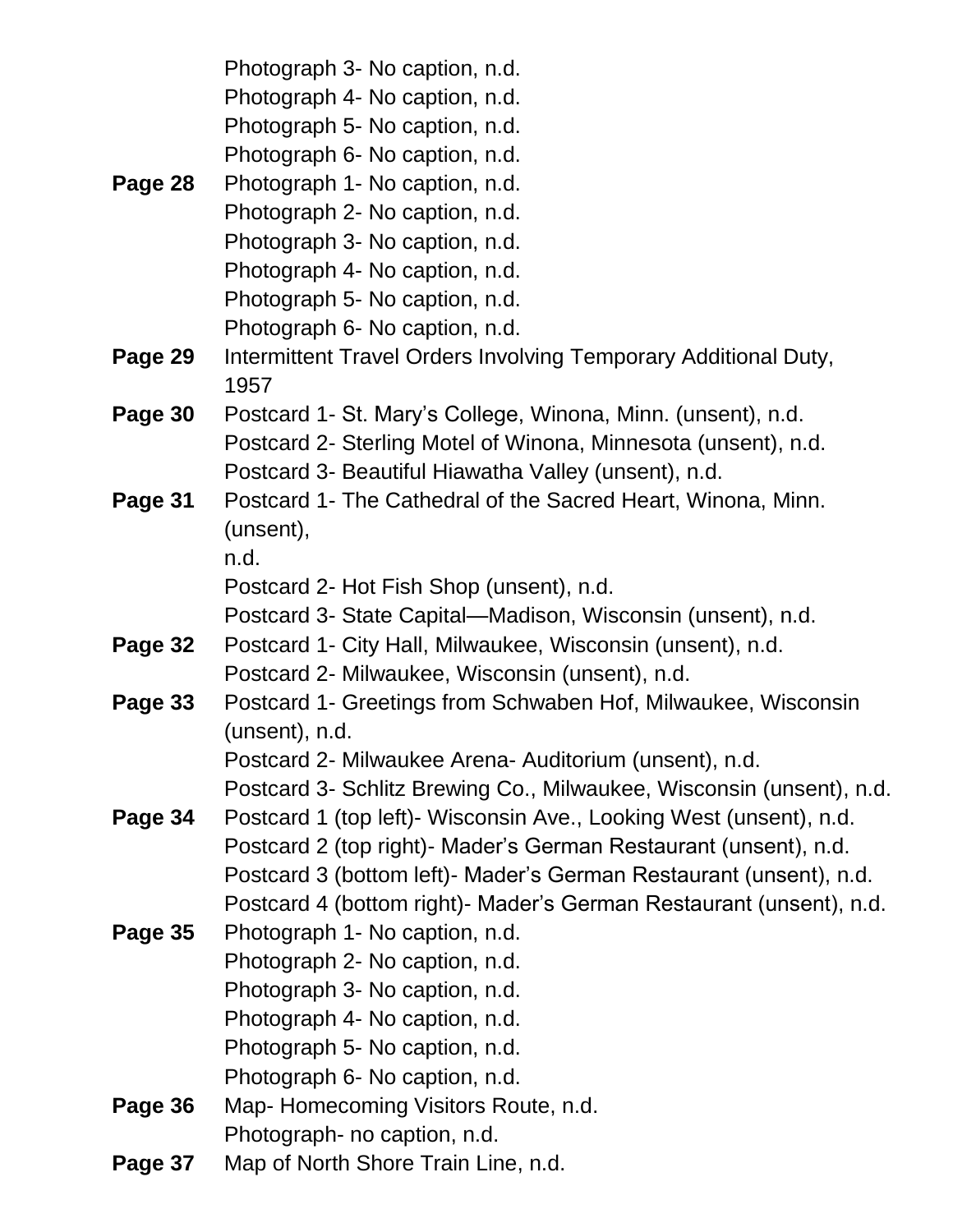|         | Photograph 3- No caption, n.d.                                           |
|---------|--------------------------------------------------------------------------|
|         | Photograph 4- No caption, n.d.                                           |
|         | Photograph 5- No caption, n.d.                                           |
|         | Photograph 6- No caption, n.d.                                           |
| Page 28 | Photograph 1- No caption, n.d.                                           |
|         | Photograph 2- No caption, n.d.                                           |
|         | Photograph 3- No caption, n.d.                                           |
|         | Photograph 4- No caption, n.d.                                           |
|         | Photograph 5- No caption, n.d.                                           |
|         | Photograph 6- No caption, n.d.                                           |
| Page 29 | Intermittent Travel Orders Involving Temporary Additional Duty,          |
|         | 1957                                                                     |
| Page 30 | Postcard 1- St. Mary's College, Winona, Minn. (unsent), n.d.             |
|         | Postcard 2- Sterling Motel of Winona, Minnesota (unsent), n.d.           |
|         | Postcard 3- Beautiful Hiawatha Valley (unsent), n.d.                     |
| Page 31 | Postcard 1- The Cathedral of the Sacred Heart, Winona, Minn.             |
|         | (unsent),                                                                |
|         | n.d.                                                                     |
|         | Postcard 2- Hot Fish Shop (unsent), n.d.                                 |
|         | Postcard 3- State Capital—Madison, Wisconsin (unsent), n.d.              |
| Page 32 | Postcard 1- City Hall, Milwaukee, Wisconsin (unsent), n.d.               |
|         | Postcard 2- Milwaukee, Wisconsin (unsent), n.d.                          |
| Page 33 | Postcard 1- Greetings from Schwaben Hof, Milwaukee, Wisconsin            |
|         | (unsent), n.d.<br>Postcard 2- Milwaukee Arena- Auditorium (unsent), n.d. |
|         | Postcard 3- Schlitz Brewing Co., Milwaukee, Wisconsin (unsent), n.d.     |
| Page 34 | Postcard 1 (top left)- Wisconsin Ave., Looking West (unsent), n.d.       |
|         | Postcard 2 (top right)- Mader's German Restaurant (unsent), n.d.         |
|         | Postcard 3 (bottom left)- Mader's German Restaurant (unsent), n.d.       |
|         | Postcard 4 (bottom right)- Mader's German Restaurant (unsent), n.d.      |
| Page 35 | Photograph 1- No caption, n.d.                                           |
|         | Photograph 2- No caption, n.d.                                           |
|         | Photograph 3- No caption, n.d.                                           |
|         | Photograph 4- No caption, n.d.                                           |
|         | Photograph 5- No caption, n.d.                                           |
|         | Photograph 6- No caption, n.d.                                           |
| Page 36 | Map-Homecoming Visitors Route, n.d.                                      |
|         | Photograph- no caption, n.d.                                             |
| Page 37 | Map of North Shore Train Line, n.d.                                      |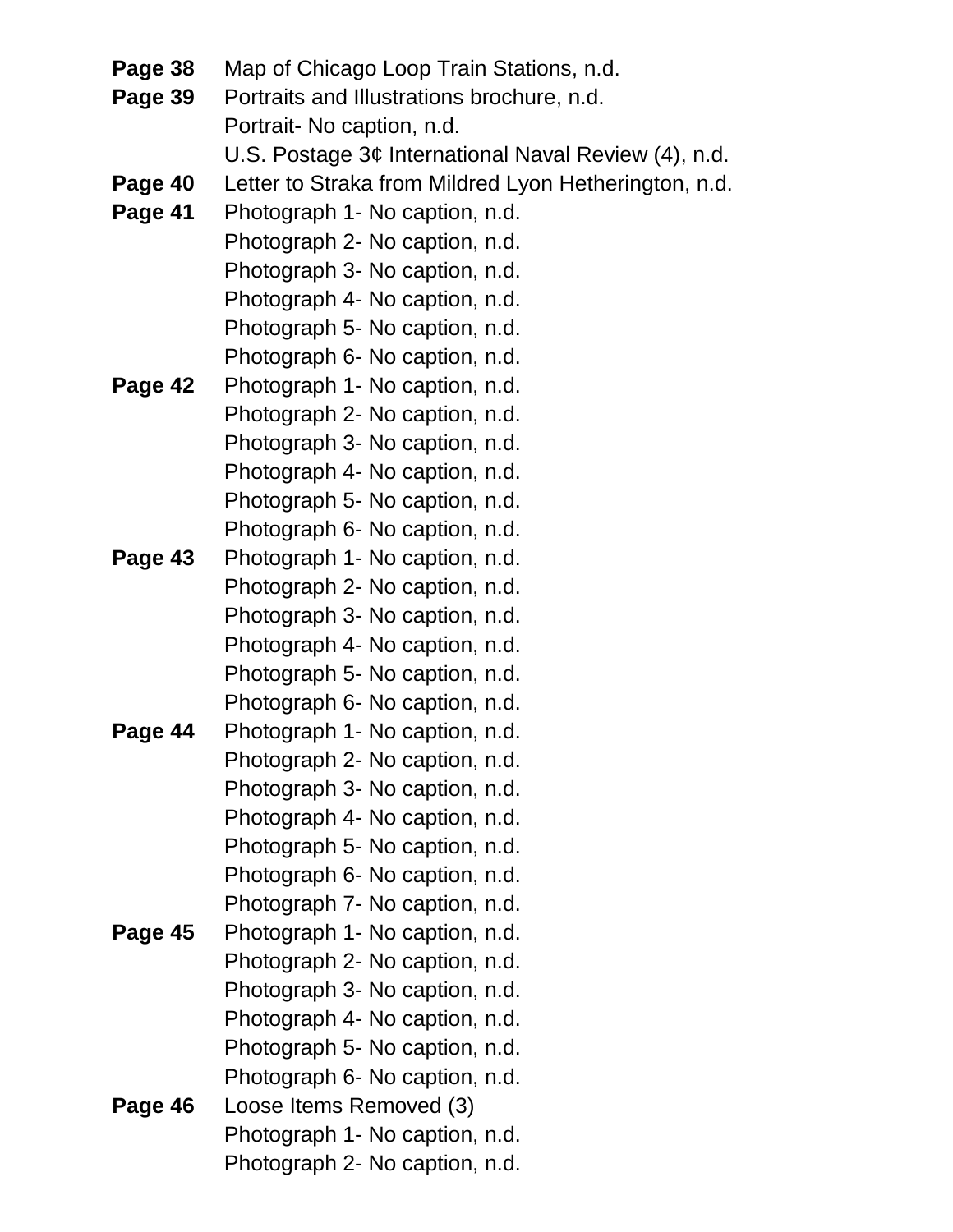- **Page 38** Map of Chicago Loop Train Stations, n.d.
- **Page 39** Portraits and Illustrations brochure, n.d. Portrait- No caption, n.d.
	- U.S. Postage 3¢ International Naval Review (4), n.d.
- **Page 40** Letter to Straka from Mildred Lyon Hetherington, n.d.
- **Page 41** Photograph 1- No caption, n.d. Photograph 2- No caption, n.d. Photograph 3- No caption, n.d. Photograph 4- No caption, n.d. Photograph 5- No caption, n.d. Photograph 6- No caption, n.d.
- **Page 42** Photograph 1- No caption, n.d. Photograph 2- No caption, n.d. Photograph 3- No caption, n.d. Photograph 4- No caption, n.d. Photograph 5- No caption, n.d. Photograph 6- No caption, n.d.
- **Page 43** Photograph 1- No caption, n.d. Photograph 2- No caption, n.d. Photograph 3- No caption, n.d. Photograph 4- No caption, n.d. Photograph 5- No caption, n.d. Photograph 6- No caption, n.d.
- **Page 44** Photograph 1- No caption, n.d. Photograph 2- No caption, n.d. Photograph 3- No caption, n.d. Photograph 4- No caption, n.d. Photograph 5- No caption, n.d. Photograph 6- No caption, n.d. Photograph 7- No caption, n.d.
- **Page 45** Photograph 1- No caption, n.d. Photograph 2- No caption, n.d. Photograph 3- No caption, n.d. Photograph 4- No caption, n.d. Photograph 5- No caption, n.d. Photograph 6- No caption, n.d.
- **Page 46** Loose Items Removed (3) Photograph 1- No caption, n.d. Photograph 2- No caption, n.d.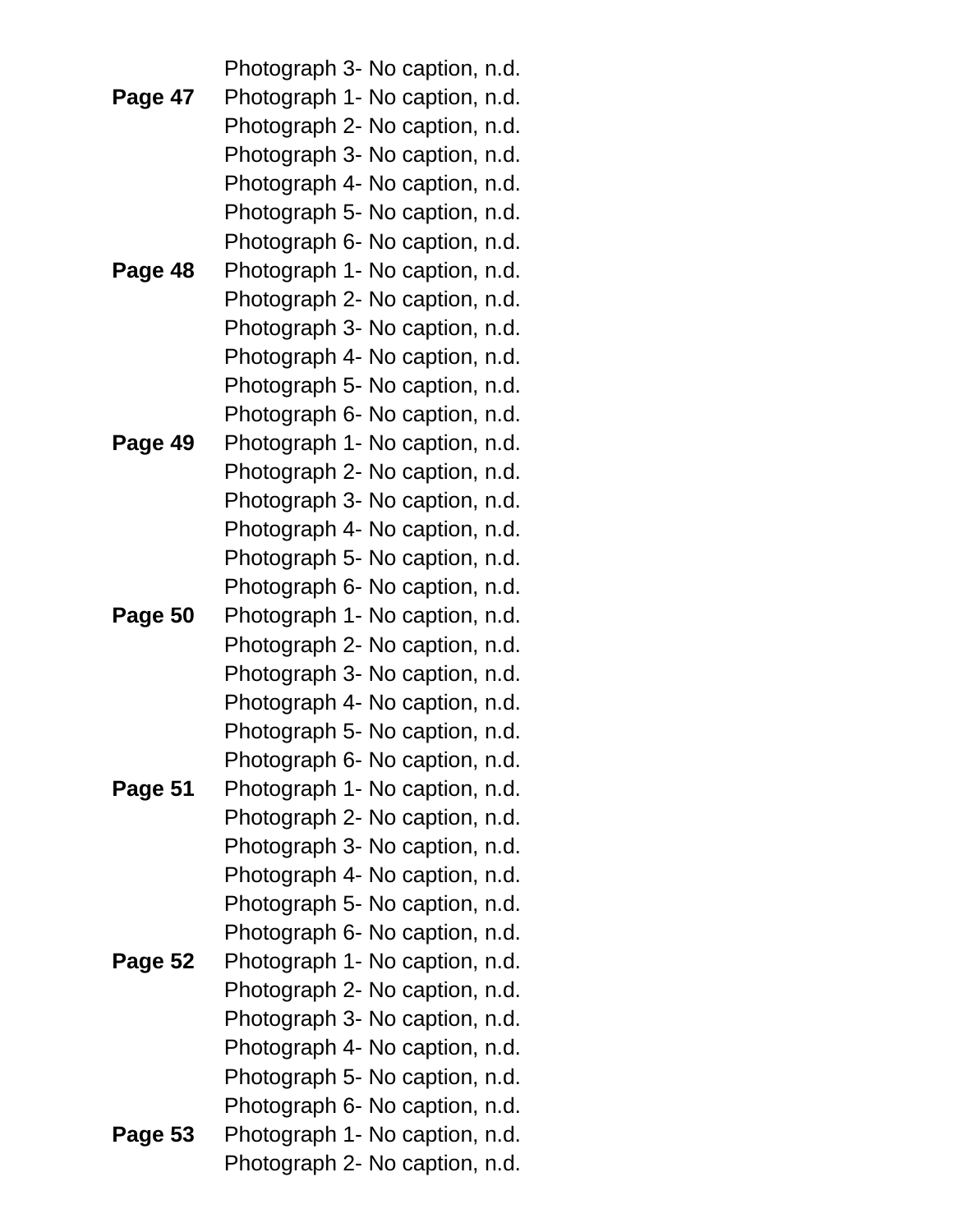|         | Photograph 3- No caption, n.d.  |
|---------|---------------------------------|
| Page 47 | Photograph 1- No caption, n.d.  |
|         | Photograph 2- No caption, n.d.  |
|         | Photograph 3- No caption, n.d.  |
|         | Photograph 4- No caption, n.d.  |
|         | Photograph 5- No caption, n.d.  |
|         | Photograph 6- No caption, n.d.  |
| Page 48 | Photograph 1- No caption, n.d.  |
|         | Photograph 2- No caption, n.d.  |
|         | Photograph 3- No caption, n.d.  |
|         | Photograph 4- No caption, n.d.  |
|         | Photograph 5- No caption, n.d.  |
|         | Photograph 6- No caption, n.d.  |
| Page 49 | Photograph 1- No caption, n.d.  |
|         | Photograph 2- No caption, n.d.  |
|         | Photograph 3- No caption, n.d.  |
|         | Photograph 4- No caption, n.d.  |
|         | Photograph 5- No caption, n.d.  |
|         | Photograph 6- No caption, n.d.  |
| Page 50 | Photograph 1- No caption, n.d.  |
|         | Photograph 2- No caption, n.d.  |
|         | Photograph 3- No caption, n.d.  |
|         | Photograph 4- No caption, n.d.  |
|         | Photograph 5- No caption, n.d.  |
|         | Photograph 6- No caption, n.d.  |
| Page 51 | Photograph 1- No caption, n.d.  |
|         | Photograph 2- No caption, n.d.  |
|         | Photograph 3- No caption, n.d.  |
|         | Photograph 4- No caption, n.d.  |
|         | Photograph 5- No caption, n.d.  |
|         | Photograph 6- No caption, n.d.  |
| Page 52 | Photograph 1- No caption, n.d.  |
|         | Photograph 2- No caption, n.d.  |
|         | Photograph 3- No caption, n.d.  |
|         | Photograph 4- No caption, n.d.  |
|         | Photograph 5- No caption, n.d.  |
|         | Photograph 6- No caption, n.d.  |
| Page 53 | Photograph 1 - No caption, n.d. |
|         | Photograph 2- No caption, n.d.  |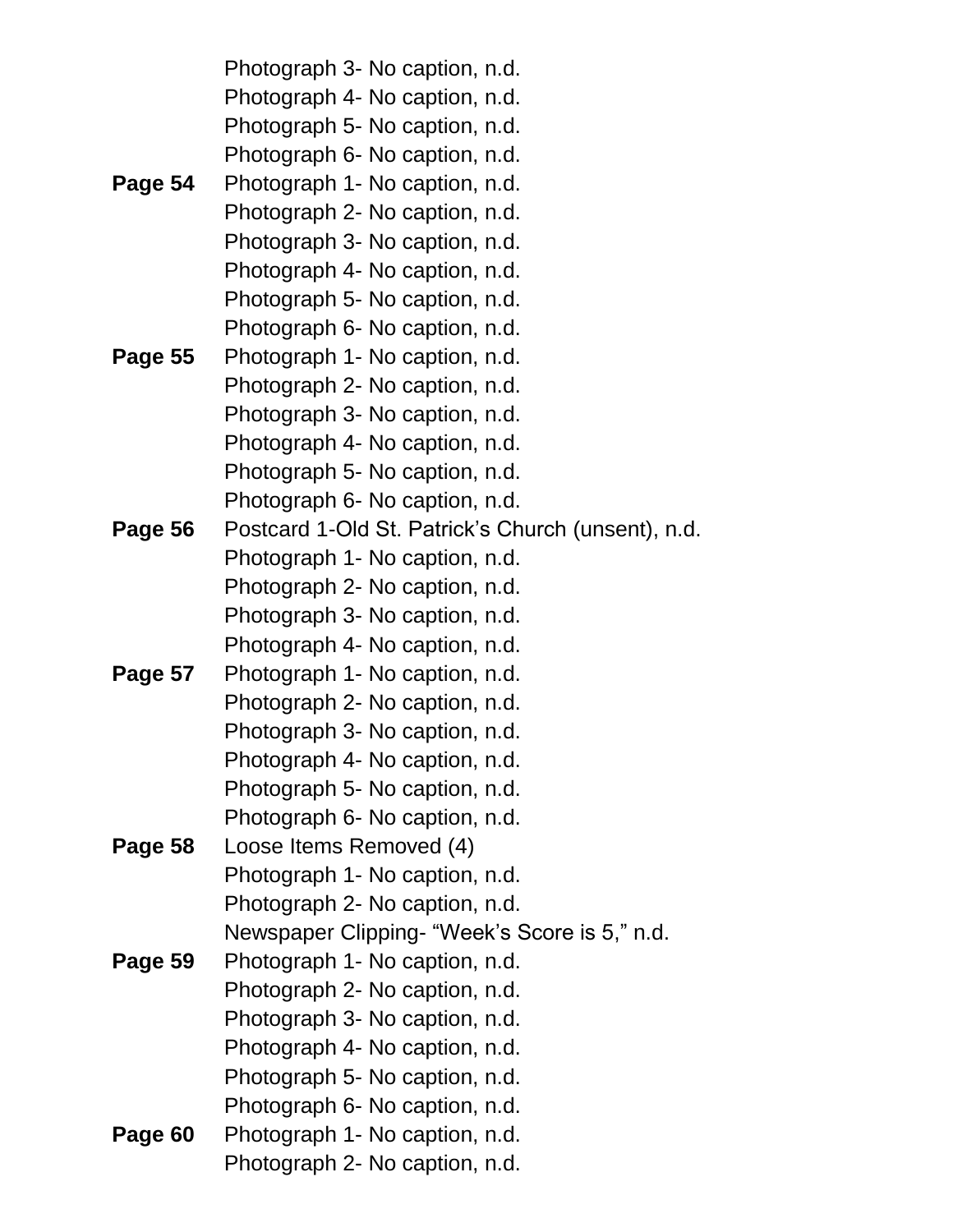|         | Photograph 3- No caption, n.d.                     |
|---------|----------------------------------------------------|
|         | Photograph 4- No caption, n.d.                     |
|         | Photograph 5- No caption, n.d.                     |
|         | Photograph 6- No caption, n.d.                     |
| Page 54 | Photograph 1 - No caption, n.d.                    |
|         | Photograph 2- No caption, n.d.                     |
|         | Photograph 3- No caption, n.d.                     |
|         | Photograph 4- No caption, n.d.                     |
|         | Photograph 5- No caption, n.d.                     |
|         | Photograph 6- No caption, n.d.                     |
| Page 55 | Photograph 1 - No caption, n.d.                    |
|         | Photograph 2- No caption, n.d.                     |
|         | Photograph 3- No caption, n.d.                     |
|         | Photograph 4- No caption, n.d.                     |
|         | Photograph 5- No caption, n.d.                     |
|         | Photograph 6- No caption, n.d.                     |
| Page 56 | Postcard 1-Old St. Patrick's Church (unsent), n.d. |
|         | Photograph 1 - No caption, n.d.                    |
|         | Photograph 2- No caption, n.d.                     |
|         | Photograph 3- No caption, n.d.                     |
|         | Photograph 4- No caption, n.d.                     |
| Page 57 | Photograph 1- No caption, n.d.                     |
|         | Photograph 2- No caption, n.d.                     |
|         | Photograph 3- No caption, n.d.                     |
|         | Photograph 4- No caption, n.d.                     |
|         | Photograph 5- No caption, n.d.                     |
|         | Photograph 6- No caption, n.d.                     |
| Page 58 | Loose Items Removed (4)                            |
|         | Photograph 1 - No caption, n.d.                    |
|         | Photograph 2- No caption, n.d.                     |
|         | Newspaper Clipping- "Week's Score is 5," n.d.      |
| Page 59 | Photograph 1 - No caption, n.d.                    |
|         | Photograph 2- No caption, n.d.                     |
|         | Photograph 3- No caption, n.d.                     |
|         | Photograph 4- No caption, n.d.                     |
|         | Photograph 5- No caption, n.d.                     |
|         | Photograph 6- No caption, n.d.                     |
| Page 60 | Photograph 1 - No caption, n.d.                    |
|         | Photograph 2- No caption, n.d.                     |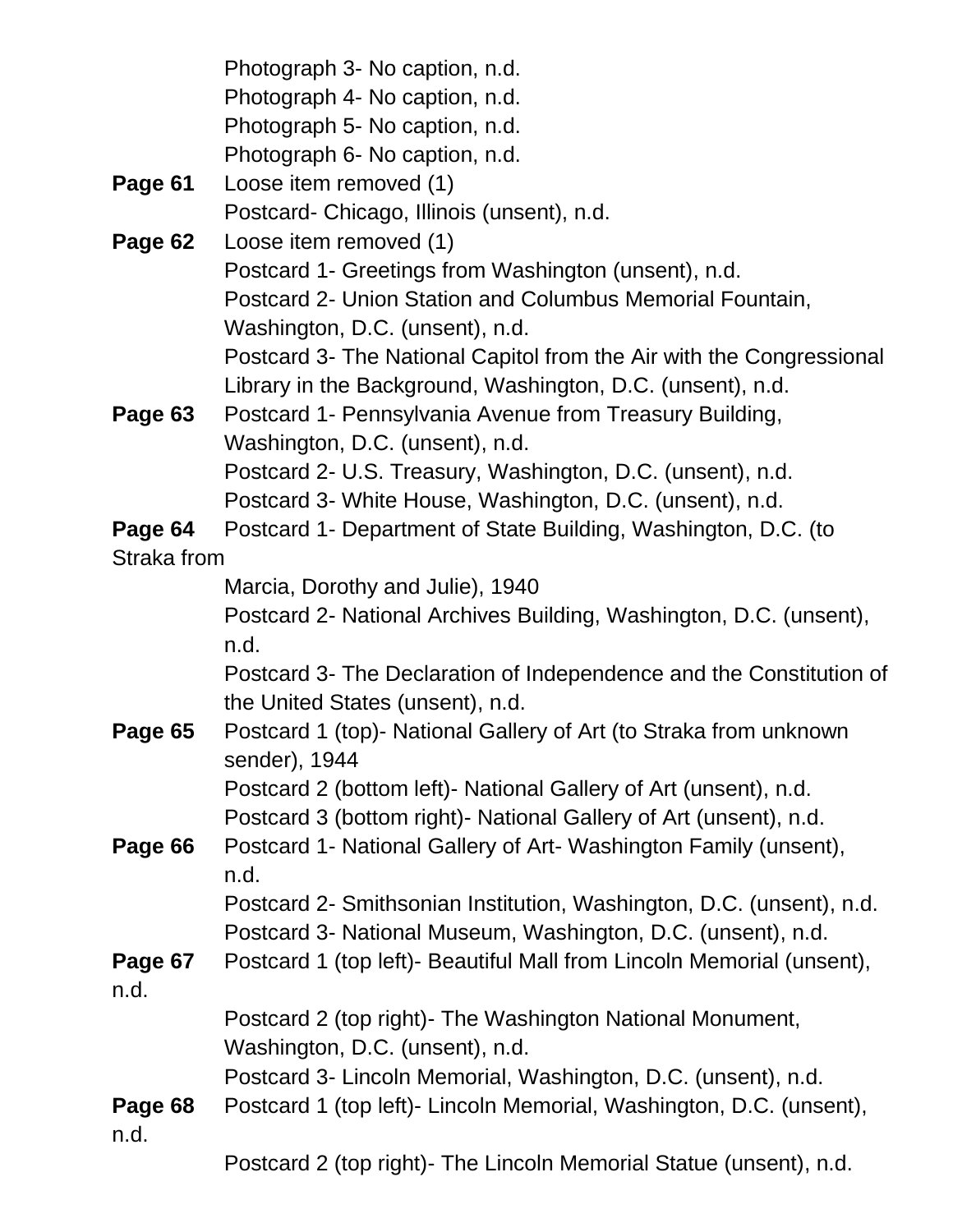|             | Photograph 3- No caption, n.d.                                             |
|-------------|----------------------------------------------------------------------------|
|             | Photograph 4- No caption, n.d.                                             |
|             | Photograph 5- No caption, n.d.                                             |
|             | Photograph 6- No caption, n.d.                                             |
| Page 61     | Loose item removed (1)                                                     |
|             | Postcard- Chicago, Illinois (unsent), n.d.                                 |
| Page 62     | Loose item removed (1)                                                     |
|             | Postcard 1- Greetings from Washington (unsent), n.d.                       |
|             | Postcard 2- Union Station and Columbus Memorial Fountain,                  |
|             | Washington, D.C. (unsent), n.d.                                            |
|             | Postcard 3- The National Capitol from the Air with the Congressional       |
|             | Library in the Background, Washington, D.C. (unsent), n.d.                 |
| Page 63     | Postcard 1- Pennsylvania Avenue from Treasury Building,                    |
|             | Washington, D.C. (unsent), n.d.                                            |
|             | Postcard 2- U.S. Treasury, Washington, D.C. (unsent), n.d.                 |
|             | Postcard 3- White House, Washington, D.C. (unsent), n.d.                   |
| Page 64     | Postcard 1- Department of State Building, Washington, D.C. (to             |
| Straka from |                                                                            |
|             | Marcia, Dorothy and Julie), 1940                                           |
|             | Postcard 2- National Archives Building, Washington, D.C. (unsent),<br>n.d. |
|             | Postcard 3- The Declaration of Independence and the Constitution of        |
|             | the United States (unsent), n.d.                                           |
| Page 65     | Postcard 1 (top)- National Gallery of Art (to Straka from unknown          |
|             | sender), 1944                                                              |
|             | Postcard 2 (bottom left)- National Gallery of Art (unsent), n.d.           |
|             | Postcard 3 (bottom right) - National Gallery of Art (unsent), n.d.         |
| Page 66     | Postcard 1- National Gallery of Art- Washington Family (unsent),           |
|             | n.d.                                                                       |
|             | Postcard 2- Smithsonian Institution, Washington, D.C. (unsent), n.d.       |
|             | Postcard 3- National Museum, Washington, D.C. (unsent), n.d.               |
| Page 67     | Postcard 1 (top left) - Beautiful Mall from Lincoln Memorial (unsent),     |
| n.d.        |                                                                            |
|             | Postcard 2 (top right)- The Washington National Monument,                  |
|             | Washington, D.C. (unsent), n.d.                                            |
|             | Postcard 3- Lincoln Memorial, Washington, D.C. (unsent), n.d.              |
| Page 68     | Postcard 1 (top left)- Lincoln Memorial, Washington, D.C. (unsent),        |
| n.d.        |                                                                            |
|             | Postcard 2 (top right) - The Lincoln Memorial Statue (unsent), n.d.        |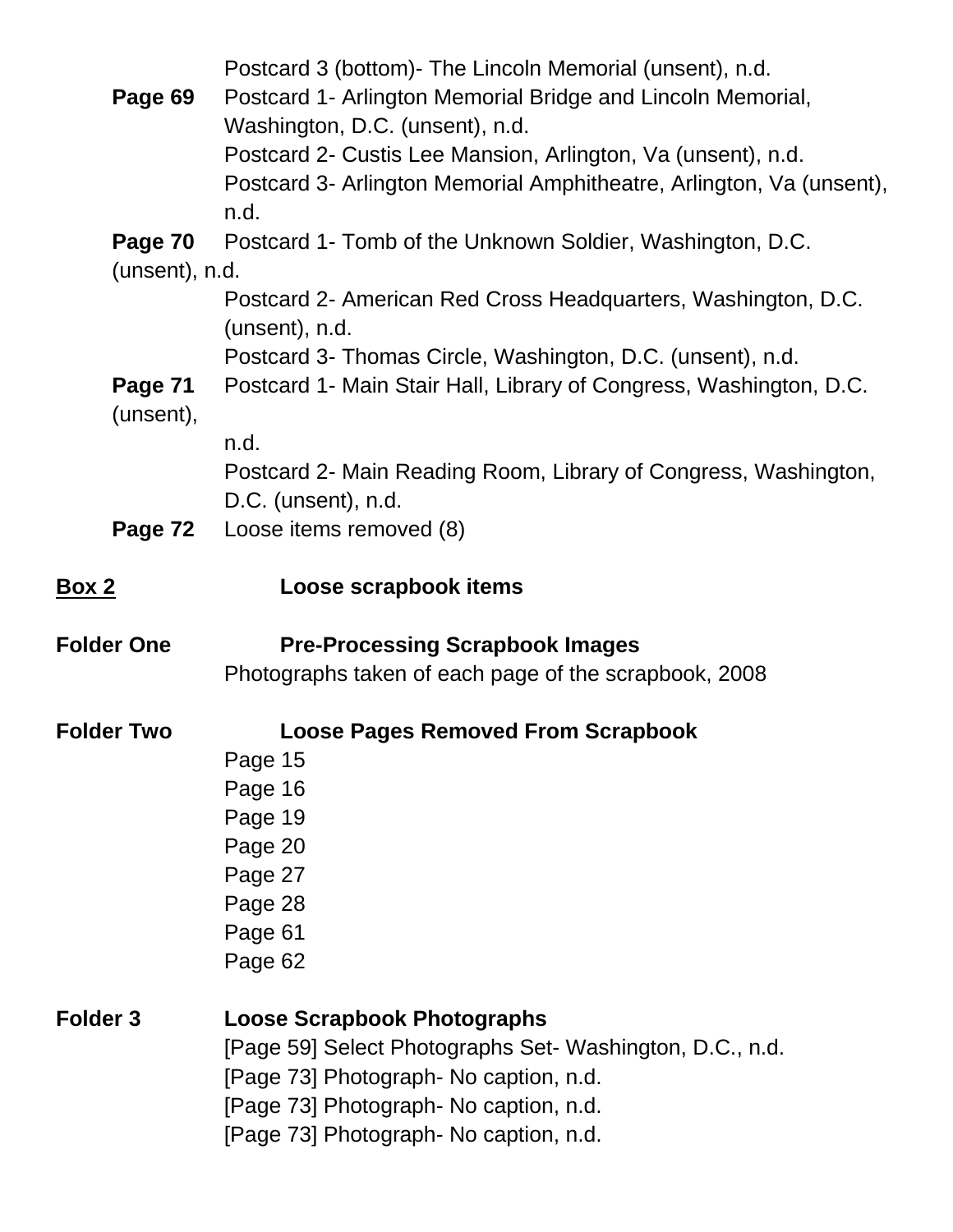|                   | Postcard 3 (bottom) - The Lincoln Memorial (unsent), n.d.                               |
|-------------------|-----------------------------------------------------------------------------------------|
| Page 69           | Postcard 1- Arlington Memorial Bridge and Lincoln Memorial,                             |
|                   | Washington, D.C. (unsent), n.d.                                                         |
|                   | Postcard 2- Custis Lee Mansion, Arlington, Va (unsent), n.d.                            |
|                   | Postcard 3- Arlington Memorial Amphitheatre, Arlington, Va (unsent),                    |
|                   | n.d.                                                                                    |
| Page 70           | Postcard 1- Tomb of the Unknown Soldier, Washington, D.C.                               |
| (unsent), n.d.    |                                                                                         |
|                   | Postcard 2- American Red Cross Headquarters, Washington, D.C.                           |
|                   | (unsent), n.d.                                                                          |
|                   | Postcard 3- Thomas Circle, Washington, D.C. (unsent), n.d.                              |
| Page 71           | Postcard 1- Main Stair Hall, Library of Congress, Washington, D.C.                      |
| (unsent),         |                                                                                         |
|                   | n.d.                                                                                    |
|                   | Postcard 2- Main Reading Room, Library of Congress, Washington,                         |
|                   | D.C. (unsent), n.d.                                                                     |
| Page 72           | Loose items removed (8)                                                                 |
|                   |                                                                                         |
| <u>Box 2</u>      | Loose scrapbook items                                                                   |
| <b>Folder One</b> | <b>Pre-Processing Scrapbook Images</b>                                                  |
|                   | Photographs taken of each page of the scrapbook, 2008                                   |
|                   |                                                                                         |
|                   |                                                                                         |
| <b>Folder Two</b> | <b>Loose Pages Removed From Scrapbook</b>                                               |
|                   | Page 15                                                                                 |
|                   | Page 16                                                                                 |
|                   | Page 19                                                                                 |
|                   | Page 20                                                                                 |
|                   | Page 27                                                                                 |
|                   | Page 28                                                                                 |
|                   | Page 61                                                                                 |
|                   | Page 62                                                                                 |
|                   |                                                                                         |
|                   | Loose Scrapbook Photographs<br>[Page 59] Select Photographs Set- Washington, D.C., n.d. |
|                   | [Page 73] Photograph- No caption, n.d.                                                  |
| <b>Folder 3</b>   | [Page 73] Photograph- No caption, n.d.                                                  |
|                   | [Page 73] Photograph- No caption, n.d.                                                  |